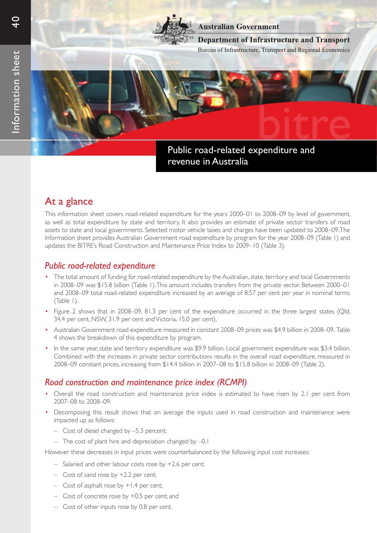

### **Australian Government**

Bureau of Infrastructure, Transport and Regional Economics **Department of Infrastructure and Transport**

Public road-related expenditure and revenue in Australia bitre

# At a glance

This information sheet covers road-related expenditure for the years 2000–01 to 2008–09 by level of government, as well as total expenditure by state and territory. It also provides an estimate of private sector transfers of road assets to state and local governments. Selected motor vehicle taxes and charges have been updated to 2008–09. The information sheet provides Australian Government road expenditure by program for the year 2008–09 (Table 1) and updates the BITRE's Road Construction and Maintenance Price Index to 2009–10 (Table 3).

## *Public road-related expenditure*

- • The total amount of funding for road-related expenditure by the Australian, state, territory and local Governments in 2008–09 was \$15.8 billion (Table 1). This amount includes transfers from the private sector. Between 2000–01 and 2008–09 total road-related expenditure increased by an average of 8.57 per cent per year in nominal terms (Table 1).
- • Figure 2 shows that in 2008–09, 81.3 per cent of the expenditure occurred in the three largest states (Qld, 34.4 per cent, NSW, 31.9 per cent and Victoria, 15.0 per cent).
- Australian Government road expenditure measured in constant 2008–09 prices was \$4.9 billion in 2008–09. Table 4 shows the breakdown of this expenditure by program.
- In the same year, state and territory expenditure was \$9.9 billion. Local government expenditure was \$3.4 billion. Combined with the increases in private sector contributions results in the overall road expenditure, measured in 2008–09 constant prices, increasing from \$14.4 billion in 2007–08 to \$15.8 billion in 2008–09 (Table 2).

## *Road construction and maintenance price index (RCMPI)*

- Overall the road construction and maintenance price index is estimated to have risen by 2.1 per cent from 2007–08 to 2008–09.
- Decomposing this result shows that on average the inputs used in road construction and maintenance were impacted up as follows:
	- Cost of diesel changed by –5.3 percent;
	- The cost of plant hire and depreciation changed by –0.1

However these decreases in input prices were counterbalanced by the following input cost increases:

- Salaried and other labour costs rose by +2.6 per cent;
- Cost of sand rose by +2.2 per cent;
- Cost of asphalt rose by +1.4 per cent;
- Cost of concrete rose by +0.5 per cent; and
- Cost of other inputs rose by 0.8 per cent.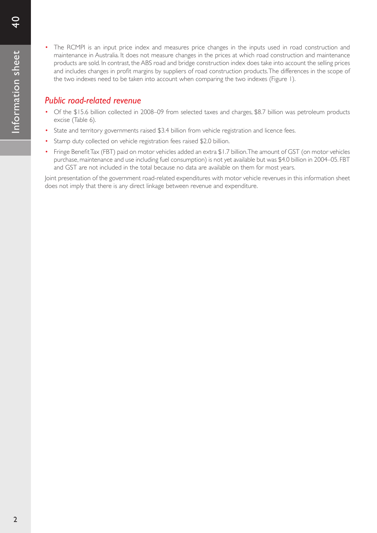The RCMPI is an input price index and measures price changes in the inputs used in road construction and maintenance in Australia. It does not measure changes in the prices at which road construction and maintenance products are sold. In contrast, the ABS road and bridge construction index does take into account the selling prices and includes changes in profit margins by suppliers of road construction products.The differences in the scope of the two indexes need to be taken into account when comparing the two indexes (Figure 1).

## *Public road-related revenue*

- Of the \$15.6 billion collected in 2008–09 from selected taxes and charges, \$8.7 billion was petroleum products excise (Table 6).
- State and territory governments raised \$3.4 billion from vehicle registration and licence fees.
- Stamp duty collected on vehicle registration fees raised \$2.0 billion.
- Fringe Benefit Tax (FBT) paid on motor vehicles added an extra \$1.7 billion. The amount of GST (on motor vehicles purchase, maintenance and use including fuel consumption) is not yet available but was \$4.0 billion in 2004–05. FBT and GST are not included in the total because no data are available on them for most years.

Joint presentation of the government road-related expenditures with motor vehicle revenues in this information sheet does not imply that there is any direct linkage between revenue and expenditure.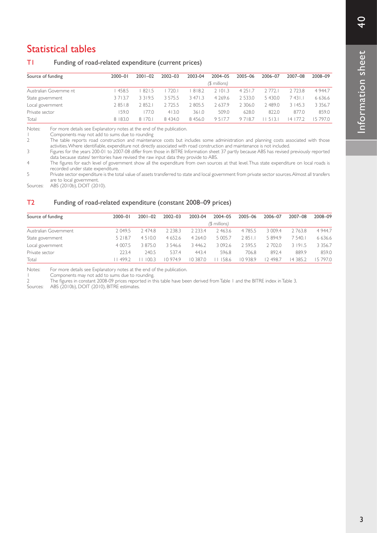# Statistical tables

### T1 Funding of road-related expenditure (current prices)

| Source of funding      | $2000 - 01$ | $2001 - 02$ | $2002 - 03$ | 2003-04  | $2004 - 05$   | 2005-06    | 2006-07                  | 2007-08  | 2008-09   |
|------------------------|-------------|-------------|-------------|----------|---------------|------------|--------------------------|----------|-----------|
|                        |             |             |             |          | $($ millions) |            |                          |          |           |
| Australian Governme nt | 458.5       | 821.5       | 720.1       | 818.2    | 2 101.3       | 4 2 5 1 .7 | 2 772.                   | 2723.8   | 4 9 4 4 7 |
| State government       | 3713.7      | 3 3 1 9 .5  | 3 5 7 5 .5  | 3 47 1 3 | 4 2 6 9 . 6   | 2 5 3 3 .0 | 5 430.0                  | ' 431.1  | 6 636.6   |
| Local government       | 2 851.8     | 2852.       | 2725.5      | 2 805.5  | 2637.9        | 2 306.0    | ∠ 489.0                  | 3145.3   | 3 3 5 6.7 |
| Private sector         | 59.0        | 77.0        | 413.0       | 361.0    | 509.0         | 628.0      | 822.0                    | 877.0    | 859.0     |
| Total                  | 8 183.0     | 8 170.      | 8 4 3 4 .0  | 8 456.0  | 9517.7        | 9718.7     | $\rightarrow$<br>$\prec$ | 4<br>11) | 15 797.0  |

Notes: For more details see Explanatory notes at the end of the publication.

1 Components may not add to sums due to rounding<br>2 The table reports road construction and maintena

The table reports road construction and maintenance costs but includes some administration and planning costs associated with those activities.Where identifiable, expenditure not directly associated with road construction and maintenance is not included.

3 Figures for the years 200-01 to 2007-08 differ from those in BITRE Information sheet 37 partly because ABS has revised previously reported data because states/ territories have revised the raw input data they provide to ABS.

4 The figures for each level of government show all the expenditure from own sources at that level.Thus state expenditure on local roads is recorded under state expenditure.

5 Private sector expenditure is the total value of assets transferred to state and local government from private sector sources. Almost all transfers are to local government.

Sources: ABS (2010b), DOIT (2010).

#### T2 Funding of road-related expenditure (constant 2008–09 prices)

| Source of funding     | $2000 - 01$ | $2001 - 02$ | $2002 - 03$ | 2003-04    | 2004-05       | 2005-06 | 2006-07  | 2007-08  | 2008-09     |
|-----------------------|-------------|-------------|-------------|------------|---------------|---------|----------|----------|-------------|
|                       |             |             |             |            | (\$ millions) |         |          |          |             |
| Australian Government | 2 0 4 9.5   | 2 474.8     | 2 2 3 8 . 3 | 22334      | 2463.6        | 4785.5  | 3 009.4  | 2763.8   | 4 9 4 4.7   |
| State government      | 5 2 1 8.7   | 4 5 1 0.0   | 4 652.6     | 4 2 6 4 .0 | 5 0 0 5.7     | 2851.1  | 5 894.9  | 7 540.1  | 6 6 3 6 . 6 |
| Local government      | 4 0 0 7.5   | 3 875.0     | 3 5 4 6.6   | 3 446.2    | 3 0 9 2.6     | 2.595.5 | 2 702.0  | 3 191.5  | 3 3 5 6.7   |
| Private sector        | 223.4       | 240.5       | 537.4       | 443.4      | 596.8         | 706.8   | 892.4    | 889.9    | 859.0       |
| Total                 | 499.2       | 100.5       | 10974.9     | 10.387.0   | 586           | 10938.9 | 12.498.7 | 14 385.2 | 5 797.0     |

Notes: For more details see Explanatory notes at the end of the publication.<br>I Components may not add to sums due to rounding

1 Components may not add to sums due to rounding.

2 The figures in constant 2008-09 prices repor ted in this table have been derived fromTable 1 and the BITRE index inTable 3.

Sources: ABS (2010b), DOIT (2010), BITRE estimates.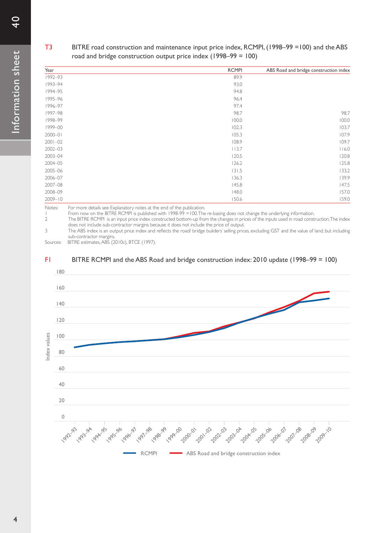### T3 BITRE road construction and maintenance input price index, RCMPI, (1998–99 =100) and the ABS road and bridge construction output price index (1998–99 = 100)

| Year        | <b>RCMPI</b> | ABS Road and bridge construction index |
|-------------|--------------|----------------------------------------|
| 1992-93     | 89.9         |                                        |
| 1993-94     | 93.0         |                                        |
| 1994-95     | 94.8         |                                        |
| 1995-96     | 96.4         |                                        |
| 1996-97     | 97.4         |                                        |
| 1997-98     | 98.7         | 98.7                                   |
| 1998-99     | 100.0        | 100.0                                  |
| 1999-00     | 102.3        | 103.7                                  |
| $2000 - 01$ | 105.3        | 107.9                                  |
| $2001 - 02$ | 108.9        | 109.7                                  |
| $2002 - 03$ | 113.7        | 116.0                                  |
| 2003-04     | 120.5        | 120.8                                  |
| 2004-05     | 126.2        | 125.8                                  |
| 2005-06     | 131.5        | 133.2                                  |
| 2006-07     | 136.3        | 139.9                                  |
| 2007-08     | 145.8        | 147.5                                  |
| 2008-09     | 148.0        | 157.0                                  |
| $2009 - 10$ | 150.6        | 159.0                                  |

Notes: For more details see Explanatory notes at the end of the publication.

1 From now on the BITRE RCMPI is published with 1998-99 =100. The re-basing does not change the underlying information.

2 The BITRE RCMPI is an input price index constructed bottom-up from the changes in prices of the inputs used in road construction. The index does not include sub-contractor margins because it does not include the price of output.

3 The ABS index is an output price index and reflects the road/ bridge builders' selling prices, excluding GST and the value of land, but including sub-contractor margins.

Sources: BITRE estimates, ABS (2010c), BTCE (1997).

#### F1 BITRE RCMPI and the ABS Road and bridge construction index: 2010 update (1998–99 = 100)

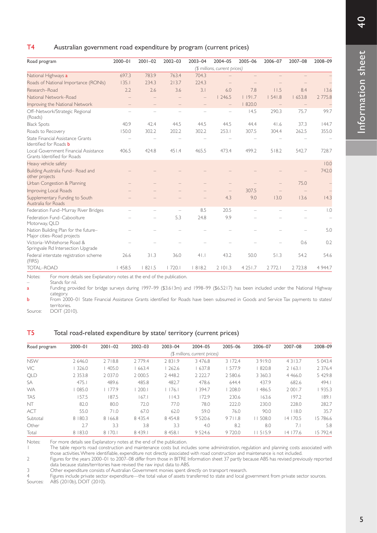### T4 Australian government road expenditure by program (current prices)

| Road program                                                         | $2000 - 01$ | $2001 - 02$ | $2002 - 03$ | 2003-04 | 2004-05                       | 2005-06    | 2006-07           | 2007-08 | 2008-09          |
|----------------------------------------------------------------------|-------------|-------------|-------------|---------|-------------------------------|------------|-------------------|---------|------------------|
|                                                                      |             |             |             |         | (\$ millions, current prices) |            |                   |         |                  |
| National Highways a                                                  | 697.3       | 783.9       | 763.4       | 704.3   |                               |            |                   |         |                  |
| Roads of National Importance (RONIs)                                 | 135.1       | 234.3       | 213.7       | 224.3   |                               |            |                   |         |                  |
| Research-Road                                                        | 2.2         | 2.6         | 3.6         | 3.1     | 6.0                           | 7.8        | 11.5              | 8.4     | 13.6             |
| National Network-Road                                                |             |             |             |         | 1246.5                        | 1191.7     | 1.541.8           | 1653.8  | 2 775.8          |
| Improving the National Network                                       |             |             |             |         | $\qquad \qquad -$             | 820.0      | $\qquad \qquad -$ |         |                  |
| Off-Network/Strategic Regional<br>(Roads)                            |             |             |             |         |                               | 14.5       | 290.3             | 75.7    | 99.7             |
| <b>Black Spots</b>                                                   | 40.9        | 42.4        | 44.5        | 44.5    | 44.5                          | 44.4       | 41.6              | 37.3    | 144.7            |
| Roads to Recovery                                                    | 150.0       | 302.2       | 202.2       | 302.2   | 253.1                         | 307.5      | 304.4             | 262.5   | 355.0            |
| State Financial Assistance Grants<br>Identified for Roads <b>b</b>   |             |             |             |         |                               |            |                   |         |                  |
| Local Government Financial Assistance<br>Grants Identified for Roads | 406.5       | 424.8       | 451.4       | 465.5   | 473.4                         | 499.2      | 518.2             | 542.7   | 728.7            |
| Heavy vehicle safety                                                 |             |             |             |         |                               |            |                   |         | 10.0             |
| Building Australia Fund-Road and<br>other projects                   |             |             |             |         |                               |            |                   |         | 742.0            |
| Urban Congestion & Planning                                          |             |             |             |         |                               |            |                   | 75.0    |                  |
| <b>Improving Local Roads</b>                                         |             |             |             |         |                               | 307.5      |                   |         |                  |
| Supplementary Funding to South<br>Australia for Roads                |             |             |             |         | 4.3                           | 9.0        | 13.0              | 13.6    | 14.3             |
| Federation Fund-Murray River Bridges                                 |             |             |             | 8.5     | 20.5                          |            |                   |         | $\overline{0}$ . |
| Federation Fund-Caboolture<br>Motorway, QLD                          |             |             | 5.3         | 24.8    | 9.9                           |            |                   |         |                  |
| Nation Building Plan for the future-<br>Major cities-Road projects   |             |             |             |         |                               |            |                   |         | 5.0              |
| Victoria-Whitehorse Road &<br>Springvale Rd Intersection Upgrade     |             |             |             |         |                               |            |                   | 0.6     | 0.2              |
| Federal interstate registration scheme<br>(FIRS)                     | 26.6        | 31.3        | 36.0        | $4$  .  | 43.2                          | 50.0       | 51.3              | 54.2    | 54.6             |
| TOTAL-ROAD                                                           | 458.5       | 1821.5      | 720.1       | 1818.2  | 2101.3                        | 4 2 5 1 .7 | 2 772.1           | 2723.8  | 4 9 4 4.7        |
|                                                                      |             |             |             |         |                               |            |                   |         |                  |

Notes: For more details see Explanatory notes at the end of the publication.

Stands for nil.

a Funding provided for bridge surveys during 1997–99 (\$3.613m) and 1998–99 (\$6.5217) has been included under the National Highway category.

**b** From 2000–01 State Financial Assistance Grants identified for Roads have been subsumed in Goods and Service Tax payments to states/ territories.

Source: DOIT (2010).

#### T5 Total road-related expenditure by state/ territory (current prices)

| Road program | $2000 - 01$ | $2001 - 02$ | $2002 - 03$ | $2003 - 04$ | 2004-05                       | 2005-06   | 2006-07     | 2007-08    | 2008-09   |
|--------------|-------------|-------------|-------------|-------------|-------------------------------|-----------|-------------|------------|-----------|
|              |             |             |             |             | (\$ millions, current prices) |           |             |            |           |
| <b>NSW</b>   | 2 646.0     | 2718.8      | 2 7 7 9.4   | 2831.9      | 3 4 7 6.8                     | 3 172.4   | 3919.0      | 4 3 1 3 .7 | 5 043.4   |
| VIC          | 326.0       | 405.0       | 663.4       | 262.6       | 1637.8                        | 577.9     | 820.8       | 2163.1     | 2 3 7 6.4 |
| <b>QLD</b>   | 2 3 5 3.8   | 2 0 3 7 .0  | 2 000.5     | 2 448.2     | 2 2 2 2 .7                    | 2 5 8 0.6 | 3 3 6 0 . 3 | 4 4 6 6.0  | 5 429.8   |
| SA           | 475.1       | 489.6       | 485.8       | 482.7       | 478.6                         | 644.4     | 437.9       | 682.6      | 494.1     |
| <b>WA</b>    | 085.0       | 1177.9      | 200.1       | 176.        | 394.7                         | 208.0     | 486.5       | 2 001.7    | 935.3     |
| <b>TAS</b>   | 157.5       | 187.5       | 167.1       | 114.3       | 172.9                         | 230.6     | 163.6       | 197.2      | 189.1     |
| NT           | 82.0        | 80.0        | 72.0        | 77.0        | 78.0                          | 222.0     | 230.0       | 228.0      | 282.7     |
| <b>ACT</b>   | 55.0        | 71.0        | 67.0        | 62.0        | 59.0                          | 76.0      | 90.0        | 118.0      | 35.7      |
| Subtotal     | 8 180.3     | 8 166.8     | 8 4 3 5.4   | 8 454.8     | 9 5 2 0.6                     | 9711.8    | 508.0       | 14 170.5   | 15 786.6  |
| Other        | 2.7         | 3.3         | 3.8         | 3.3         | 4.0                           | 8.2       | 8.0         | 7.1        | 5.8       |
| Total        | 8 183.0     | 8 170.      | 8 4 3 9.1   | 8 4 5 8.1   | 9 5 2 4.6                     | 9 7 2 0.0 | 11515.9     | 14 177.6   | 15 792.4  |

Notes: For more details see Explanatory notes at the end of the publication.

1 The table reports road construction and maintenance costs but includes some administration, regulation and planning costs associated with those activities.Where identifiable, expenditure not directly associated with road construction and maintenance is not included.

2 Figures for the years 2000–01 to 2007–08 differ from those in BITRE Information sheet 37 partly because ABS has revised previously reported data because states/territories have revised the raw input data to ABS.

3 Other expenditure consists of Australian Government monies spent directly on transport research.

4 Figures include private sector expenditure—the total value of assets transferred to state and local government from private sector sources. ABS (2010b), DOIT (2010).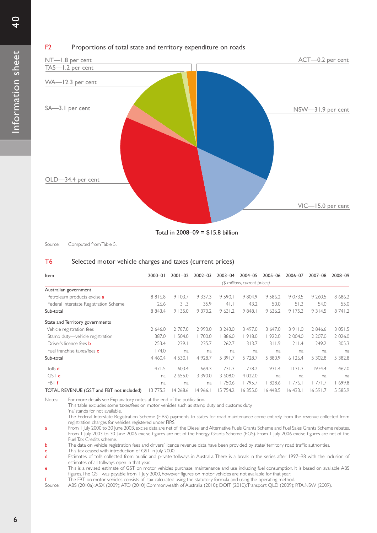

### F2 Proportions of total state and territory expenditure on roads



Source: Computed from Table 5.

#### T6 Selected motor vehicle charges and taxes (current prices)

| Item                                     | $2000 - 01$ | $2001 - 02$ | $2002 - 03$ | $2003 - 04$ | 2004-05                       | 2005-06   | 2006-07   | 2007-08   | 2008-09    |
|------------------------------------------|-------------|-------------|-------------|-------------|-------------------------------|-----------|-----------|-----------|------------|
|                                          |             |             |             |             | (\$ millions, current prices) |           |           |           |            |
| Australian government                    |             |             |             |             |                               |           |           |           |            |
| Petroleum products excise a              | 8816.8      | 9 103.7     | 9 3 3 7 . 3 | 9 5 9 0.    | 9 804.9                       | 9 5 8 6.2 | 9 0 7 3.5 | 9 2 6 0.5 | 8 686.2    |
| Federal Interstate Registration Scheme   | 26.6        | 31.3        | 35.9        | 41.1        | 43.2                          | 50.0      | 51.3      | 54.0      | 55.0       |
| Sub-total                                | 8 8 4 3.4   | 9 135.0     | 9 3 7 3.2   | 9631.2      | 9 8 4 8.1                     | 9 636.2   | 9 175.3   | 9 3 1 4.5 | 8 74 1.2   |
| State and Territory governments          |             |             |             |             |                               |           |           |           |            |
| Vehicle registration fees                | 2 646.0     | 2 787.0     | 2 9 9 3.0   | 3 2 4 3 .0  | 3 497.0                       | 3 647.0   | 3911.0    | 2 846.6   | 3 0 5 1 .5 |
| Stamp duty-vehicle registration          | 387.0       | 504.0       | 700.0       | 886.0       | 918.0                         | 922.0     | 2 004.0   | 2 207.0   | 2 0 2 6 .0 |
| Driver's licence fees <b>b</b>           | 253.4       | 239.1       | 235.7       | 262.7       | 313.7                         | 311.9     | 211.4     | 249.2     | 305.3      |
| Fuel franchise taxes/fees c              | 174.0       | na          | na          | na          | na                            | na.       | na        | na        | na         |
| Sub-total                                | 4 4 6 0.4   | 4 5 3 0.1   | 4 9 28.7    | 5 3 9 1 .7  | 5 7 28.7                      | 5 880.9   | 6126.4    | 5 302.8   | 5 3 8 2.8  |
| Tolls <b>d</b>                           | 471.5       | 603.4       | 664.3       | 731.3       | 778.2                         | 931.4     | 1131.3    | 1974.4    | 1462.0     |
| GST e                                    | na          | 2 655.0     | 3 3 9 0.0   | 3 608.0     | 4 0 2 2.0                     | na        | na        | na        | na         |
| FBT f                                    | na          | na          | na          | 750.6       | 795.7                         | 828.6     | 776.      |           | 699.8      |
| TOTAL REVENUE (GST and FBT not included) | 3 775.3     | 4 2 6 8.6   | 14 966.1    | 5 7 5 4.2   | 6 3 5 5 .0                    | 6 448.5   | 6433.1    | 16 59 1.7 | 15 5 8 5.9 |

Notes: For more details see Explanatory notes at the end of the publication.

This table excludes some taxes/fees on motor vehicles such as stamp duty and customs duty.

'na' stands for not available. The Federal Interstate Registration Scheme (FIRS) payments to states for road maintenance come entirely from the revenue collected from registration charges for vehicles registered under FIRS.

a From 1 July 2000 to 30 June 2003, excise data are net of the Diesel and Alternative Fuels Grants Scheme and Fuel Sales Grants Scheme rebates. From 1 July 2003 to 30 June 2006 excise figures are net of the Energy Grants Scheme (EGS). From 1 July 2006 excise figures are net of the Fuel Tax Credits scheme.

**b** The data on vehicle registration fees and drivers' licence revenue data have been provided by state/ territory road traffic authorities.

**c** This tax ceased with introduction of GST in July 2000.<br> **d** Estimates of tolls collected from public and private t Estimates of tolls collected from public and private tollways in Australia. There is a break in the series after 1997–98 with the inclusion of estimates of all tollways open in that year.

e This is a revised estimate of GST on motor vehicles purchase, maintenance and use including fuel consumption. It is based on available ABS figures.The GST was payable from 1 July 2000, however figures on motor vehicles are not available for that year.

The FBT on motor vehicles consists of tax calculated using the statutory formula and using the operating method.

Source: ABS (2010a); ASX (2009); ATO (2010);Commonwealth of Australia (2010); DOIT (2010); Transport QLD (2009); RTA,NSW (2009).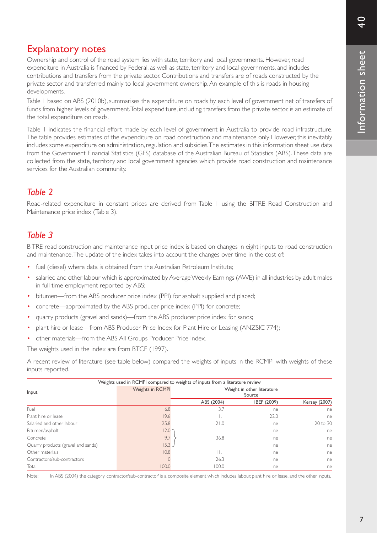# Explanatory notes

Ownership and control of the road system lies with state, territory and local governments. However, road expenditure in Australia is financed by Federal, as well as state, territory and local governments, and includes contributions and transfers from the private sector. Contributions and transfers are of roads constructed by the private sector and transferred mainly to local government ownership. An example of this is roads in housing developments.

Table 1 based on ABS (2010b), summarises the expenditure on roads by each level of government net of transfers of funds from higher levels of government. Total expenditure, including transfers from the private sector, is an estimate of the total expenditure on roads.

Table 1 indicates the financial effort made by each level of government in Australia to provide road infrastructure. The table provides estimates of the expenditure on road construction and maintenance only. However, this inevitably includes some expenditure on administration, regulation and subsidies. The estimates in this information sheet use data from the Government Financial Statistics (GFS) database of the Australian Bureau of Statistics (ABS). These data are collected from the state, territory and local government agencies which provide road construction and maintenance services for the Australian community.

## *Table 2*

Road-related expenditure in constant prices are derived from Table 1 using the BITRE Road Construction and Maintenance price index (Table 3).

## *Table 3*

BITRE road construction and maintenance input price index is based on changes in eight inputs to road construction and maintenance. The update of the index takes into account the changes over time in the cost of:

- fuel (diesel) where data is obtained from the Australian Petroleum Institute;
- salaried and other labour which is approximated by Average Weekly Earnings (AWE) in all industries by adult males in full time employment reported by ABS;
- bitumen—from the ABS producer price index (PPI) for asphalt supplied and placed;
- concrete—approximated by the ABS producer price index (PPI) for concrete;
- • quarry products (gravel and sands)—from the ABS producer price index for sands;
- plant hire or lease—from ABS Producer Price Index for Plant Hire or Leasing (ANZSIC 774);
- other materials—from the ABS All Groups Producer Price Index.

The weights used in the index are from BTCE (1997).

A recent review of literature (see table below) compared the weights of inputs in the RCMPI with weights of these inputs reported.

|                                    | Weights used in RCMPI compared to weights of inputs from a literature review |              |                                      |                      |
|------------------------------------|------------------------------------------------------------------------------|--------------|--------------------------------------|----------------------|
| Input                              | <b>Weights in RCMPI</b>                                                      |              | Weight in other literature<br>Source |                      |
|                                    |                                                                              | ABS (2004)   | IBEF (2009)                          | <b>Kersey (2007)</b> |
| Fuel                               | 6.8                                                                          | 3.7          | ne                                   | ne                   |
| Plant hire or lease                | 19.6                                                                         | Ь.           | 22.0                                 | ne                   |
| Salaried and other labour          | 25.8                                                                         | 21.0         | ne                                   | 20 to 30             |
| Bitumen/asphalt                    | 12.0                                                                         |              | ne                                   | ne                   |
| Concrete                           | 9.7                                                                          | 36.8         | ne                                   | ne                   |
| Quarry products (gravel and sands) | $15.3 -$                                                                     |              | ne                                   | ne                   |
| Other materials                    | 10.8                                                                         | $\mathsf{H}$ | ne                                   | ne                   |
| Contractors/sub-contractors        |                                                                              | 26.3         | ne                                   | ne                   |
| Total                              | 100.0                                                                        | 100.0        | ne                                   | ne                   |

Note: In ABS (2004) the category 'contractor/sub-contractor' is a composite element which includes labour, plant hire or lease, and the other inputs.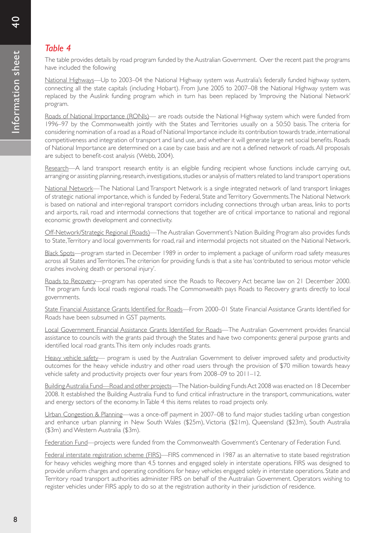# *Table 4*

The table provides details by road program funded by the Australian Government. Over the recent past the programs have included the following

National Highways—Up to 2003–04 the National Highway system was Australia's federally funded highway system, connecting all the state capitals (including Hobart). From June 2005 to 2007–08 the National Highway system was replaced by the Auslink funding program which in turn has been replaced by 'Improving the National Network' program.

Roads of National Importance (RONIs)— are roads outside the National Highway system which were funded from 1996–97 by the Commonwealth jointly with the States and Territories usually on a 50:50 basis. The criteria for considering nomination of a road as a Road of National Importance include its contribution towards trade, international competitiveness and integration of transport and land use, and whether it will generate large net social benefits. Roads of National Impor tance are determined on a case by case basis and are not a defined network of roads.All proposals are subject to benefit-cost analysis (Webb, 2004).

Research—A land transport research entity is an eligible funding recipient whose functions include carrying out, arranging or assisting planning, research, investigations, studies or analysis of matters related to land transport operations

National Network—The National Land Transport Network is a single integrated network of land transport linkages of strategic national importance, which is funded by Federal, State and Territory Governments. The National Network is based on national and inter-regional transport corridors including connections through urban areas, links to ports and airports, rail, road and intermodal connections that together are of critical importance to national and regional economic growth development and connectivity.

Off-Network/Strategic Regional (Roads)—The Australian Government's Nation Building Program also provides funds to State, Territory and local governments for road, rail and intermodal projects not situated on the National Network.

Black Spots—program started in December 1989 in order to implement a package of uniform road safety measures across all States and Territories. The criterion for providing funds is that a site has 'contributed to serious motor vehicle crashes involving death or personal injury'.

Roads to Recovery—program has operated since the Roads to Recovery Act became law on 21 December 2000. The program funds local roads regional roads. The Commonwealth pays Roads to Recovery grants directly to local governments.

State Financial Assistance Grants Identified for Roads—From 2000–01 State Financial Assistance Grants Identified for Roads have been subsumed in GST payments.

Local Government Financial Assistance Grants Identified for Roads—The Australian Government provides financial assistance to councils with the grants paid through the States and have two components: general purpose grants and identified local road grants.This item only includes roads grants.

Heavy vehicle safety— program is used by the Australian Government to deliver improved safety and productivity outcomes for the heavy vehicle industry and other road users through the provision of \$70 million towards heavy vehicle safety and productivity projects over four years from 2008–09 to 2011–12.

Building Australia Fund—Road and other projects—The Nation-building Funds Act 2008 was enacted on 18 December 2008. It established the Building Australia Fund to fund critical infrastructure in the transport, communications, water and energy sectors of the economy. In Table 4 this items relates to road projects only.

Urban Congestion & Planning—was a once-off payment in 2007–08 to fund major studies tackling urban congestion and enhance urban planning in New South Wales (\$25m), Victoria (\$21m), Queensland (\$23m), South Australia (\$3m) and Western Australia (\$3m).

Federation Fund—projects were funded from the Commonwealth Government's Centenary of Federation Fund.

Federal interstate registration scheme (FIRS)—FIRS commenced in 1987 as an alternative to state based registration for heavy vehicles weighing more than 4.5 tonnes and engaged solely in interstate operations. FIRS was designed to provide uniform charges and operating conditions for heavy vehicles engaged solely in interstate operations. State and Territory road transport authorities administer FIRS on behalf of the Australian Government. Operators wishing to register vehicles under FIRS apply to do so at the registration authority in their jurisdiction of residence.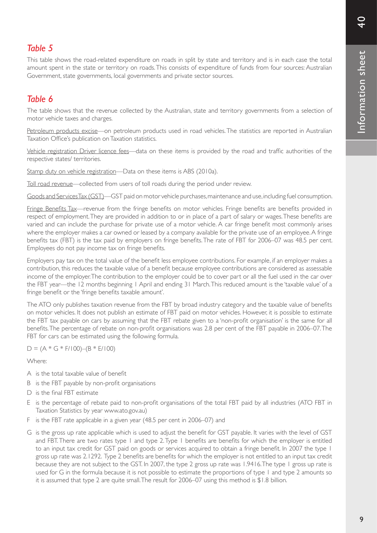## *Table 5*

This table shows the road-related expenditure on roads in split by state and territory and is in each case the total amount spent in the state or territory on roads. This consists of expenditure of funds from four sources: Australian Government, state governments, local governments and private sector sources.

# *Table 6*

The table shows that the revenue collected by the Australian, state and territory governments from a selection of motor vehicle taxes and charges.

Petroleum products excise—on petroleum products used in road vehicles. The statistics are reported in Australian Taxation Office's publication onTaxation statistics.

Vehicle registration Driver licence fees—data on these items is provided by the road and traffic authorities of the respective states/ territories.

Stamp duty on vehicle registration—Data on these items is ABS (2010a).

Toll road revenue—collected from users of toll roads during the period under review.

Goods and Services Tax (GST)—GST paid on motor vehicle purchases, maintenance and use, including fuel consumption.

Fringe Benefits Tax—revenue from the fringe benefits on motor vehicles. Fringe benefits are benefits provided in respect of employment. They are provided in addition to or in place of a part of salary or wages. These benefits are varied and can include the purchase for private use of a motor vehicle. A car fringe benefit most commonly arises where the employer makes a car owned or leased by a company available for the private use of an employee. A fringe benefits tax (FBT) is the tax paid by employers on fringe benefits.The rate of FBT for 2006–07 was 48.5 per cent. Employees do not pay income tax on fringe benefits.

Employers pay tax on the total value of the benefit less employee contributions. For example, if an employer makes a contribution, this reduces the taxable value of a benefit because employee contributions are considered as assessable income of the employer. The contribution to the employer could be to cover part or all the fuel used in the car over the FBT year—the 12 months beginning 1 April and ending 31 March. This reduced amount is the 'taxable value' of a fringe benefit or the 'fringe benefits taxable amount'.

The ATO only publishes taxation revenue from the FBT by broad industry category and the taxable value of benefits on motor vehicles. It does not publish an estimate of FBT paid on motor vehicles. However, it is possible to estimate the FBT tax payable on cars by assuming that the FBT rebate given to a 'non-profit organisation' is the same for all benefits.The percentage of rebate on non-profit organisations was 2.8 per cent of the FBT payable in 2006–07.The FBT for cars can be estimated using the following formula.

 $D = (A * G * F/100) - (B * E/100)$ 

Where:

- A is the total taxable value of benefit
- B is the FBT payable by non-profit organisations
- D is the final FBT estimate
- E is the percentage of rebate paid to non-profit organisations of the total FBT paid by all industries (ATO FBT in Taxation Statistics by year www.ato.gov.au)
- F is the FBT rate applicable in a given year (48.5 per cent in 2006–07) and
- G is the gross up rate applicable which is used to adjust the benefit for GST payable. It varies with the level of GST and FBT.There are two rates type 1 and type 2.Type 1 benefits are benefits for which the employer is entitled to an input tax credit for GST paid on goods or services acquired to obtain a fringe benefit. In 2007 the type 1 gross up rate was 2.1292. Type 2 benefits are benefits for which the employer is not entitled to an input tax credit because they are not subject to the GST. In 2007, the type 2 gross up rate was 1.9416. The type 1 gross up rate is used for G in the formula because it is not possible to estimate the proportions of type 1 and type 2 amounts so it is assumed that type 2 are quite small. The result for 2006–07 using this method is \$1.8 billion.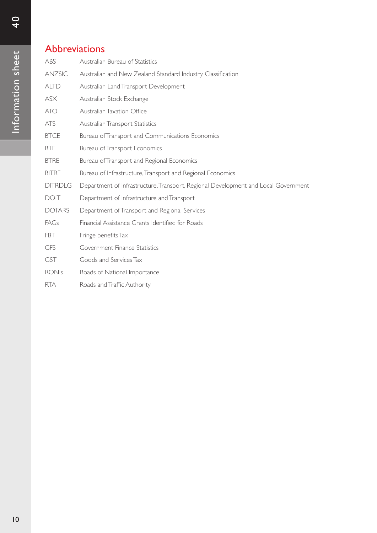# Abbreviations

| ABS            | Australian Bureau of Statistics                                                    |
|----------------|------------------------------------------------------------------------------------|
| ANZSIC         | Australian and New Zealand Standard Industry Classification                        |
| <b>ALTD</b>    | Australian Land Transport Development                                              |
| <b>ASX</b>     | Australian Stock Exchange                                                          |
| <b>ATO</b>     | Australian Taxation Office                                                         |
| <b>ATS</b>     | Australian Transport Statistics                                                    |
| <b>BTCE</b>    | Bureau of Transport and Communications Economics                                   |
| <b>BTE</b>     | <b>Bureau of Transport Economics</b>                                               |
| <b>BTRE</b>    | Bureau of Transport and Regional Economics                                         |
| <b>BITRE</b>   | Bureau of Infrastructure, Transport and Regional Economics                         |
| <b>DITRDLG</b> | Department of Infrastructure, Transport, Regional Development and Local Government |
| <b>DOIT</b>    | Department of Infrastructure and Transport                                         |
| <b>DOTARS</b>  | Department of Transport and Regional Services                                      |
| FAGs           | Financial Assistance Grants Identified for Roads                                   |
| FBT            | Fringe benefits Tax                                                                |
| GFS            | Government Finance Statistics                                                      |
| <b>GST</b>     | Goods and Services Tax                                                             |
| <b>RONIs</b>   | Roads of National Importance                                                       |
| <b>RTA</b>     | Roads and Traffic Authority                                                        |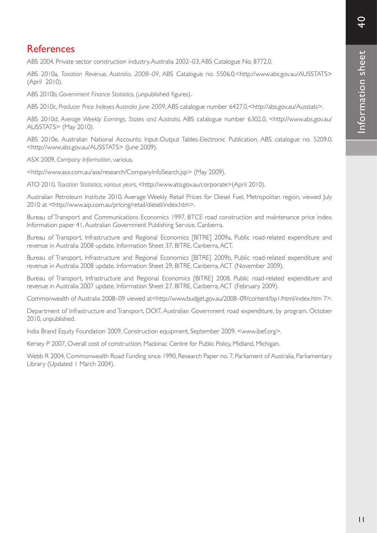# **References**

ABS 2004, Private sector construction industry, Australia 2002–03, ABS Catalogue No. 8772.0.

ABS 2010a, *Taxation Revenue, Australia, 2008–09*, ABS Catalogue no. 5506.0,<http://www.abs.gov.au/AUSSTATS> (April 2010).

ABS 2010b, *Government Finance Statistics*, (unpublished figures).

ABS 2010c, *Producer Price Indexes Australia June 2009*, ABS catalogue number 6427.0,<http://abs.gov.au/Ausstats>.

ABS 2010d, *Average Weekly Earnings, States and Australia*, ABS catalogue number 6302.0, <http://www.abs.gov.au/ AUSSTATS> (May 2010).

ABS 2010e, Australian National Accounts: Input-Output Tables-Electronic Publication, ABS catalogue no. 5209.0, <http://www.abs.gov.au/AUSSTATS> (June 2009).

ASX 2009, *Company Information*, various,

<http://www.asx.com.au/asx/research/CompanyInfoSearch.jsp> (May 2009).

ATO 2010, *Taxation Statistics, various years*, <http://www.ato.gov.au/corporate>(April 2010).

Australian Petroleum Institute 2010, Average Weekly Retail Prices for Diesel Fuel, Metropolitan region, viewed July 2010 at <http://www.aip.com.au/pricing/retail/diesel/index.htm>.

Bureau of Transport and Communications Economics 1997, BTCE road construction and maintenance price index. Information paper 41, Australian Government Publishing Service, Canberra.

Bureau of Transport, Infrastructure and Regional Economics [BITRE] 2009a, Public road-related expenditure and revenue in Australia 2008 update, Information Sheet 37, BITRE, Canberra, ACT.

Bureau of Transport, Infrastructure and Regional Economics [BITRE] 2009b, Public road-related expenditure and revenue in Australia 2008 update, Information Sheet 29, BITRE, Canberra, ACT (November 2009).

Bureau of Transport, Infrastructure and Regional Economics [BITRE] 2008, Public road-related expenditure and revenue in Australia 2007 update, Information Sheet 27, BITRE, Canberra, ACT (February 2009).

Commonwealth of Australia 2008–09 viewed at<http://www.budget.gov.au/2008–09/content/bp1/html/index.htm 7>.

Department of Infrastructure and Transport, DOIT, Australian Government road expenditure, by program, October 2010, unpublished.

India Brand Equity Foundation 2009, Construction equipment, September 2009, <www.ibef.org>.

Kersey P 2007, Overall cost of construction, Mackinac Centre for Public Policy, Midland, Michigan.

Webb R 2004, Commonwealth Road Funding since 1990, Research Paper no. 7, Parliament of Australia, Parliamentary Library (Updated 1 March 2004).